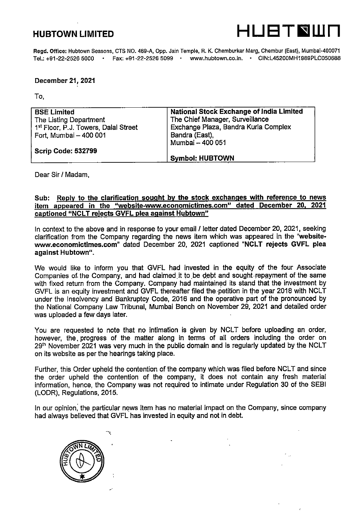

Regd. Office: Hubtown Seasons, CTS NO. 469-A, 0pp. Jain Temple, R. K. Chemburkar Marg, Chembur (East), Mumbai-400071 Tel.:+91-22-2526 5000 • Fax:+91-22-2526 5099 • www.hubtown.co.in. • CIN:L45200MH1989PLC050688

## December 21, 2021

To.

| <b>BSE Limited</b>                   | <b>National Stock Exchange of India Limited</b> |
|--------------------------------------|-------------------------------------------------|
| The Listing Department               | The Chief Manager, Surveillance                 |
| 1st Floor, P.J. Towers, Dalal Street | Exchange Plaza, Bandra Kurla Complex            |
| Fort, Mumbai - 400 001               | Bandra (East),                                  |
|                                      | Mumbai - 400 051                                |
| <b>Scrip Code: 532799</b>            |                                                 |
|                                      | <b>Symbol: HUBTOWN</b>                          |

Dear Sir / Madam,

## Sub: Reply to the clarification sought by the stock exchanges with reference to news item appeared in the "website-www.economictimes.com" dated December 20. 2021 captioned "NCLT rejects GVFL plea against Hubtown"

In context to the above and in response to your email / letter dated December 20, 2021, seeking clarification from the Company regarding the news item which was appeared in the "websitewww.economictimes.com" dated December 20, 2021 captioned "NCLT rejects GVFL plea against Hubtown".

We would like to inform you that GVFL had invested in the equity of the four Associate Companies of the Company, and had claimed it to be debt and sought repayment of the same with fixed return from the Company. Company had maintained its stand that the investment by GVFL is an equity investment and GVFL thereafter filed the petition in the year 2018 with NCLT under the Insolvency and Bankruptcy Code, 2016 and the operative part of the pronounced by the National Company Law Tribunal, Mumbai Bench on November 29, 2021 and detailed order was uploaded a few days later.

You are requested to note that no intimation is given by NCLT before uploading an order, however, the. progress of the matter along in terms of all orders including the order on  $29<sup>th</sup>$  November 2021 was very much in the public domain and is regularly updated by the NCLT on its website as per the hearings taking place.

Further, this Order upheld the contention of the company which was filed before NCLT and since the order upheld the contention of the company, it does not contain any fresh material information, hence, the Company was not required to intimate under Regulation 30 of the SEBI (LODR), Regulations, 2015.

in our opinion, the particular news item has no material impact on the Company, since company had always believed that GVFL has invested in equity and not in debt.